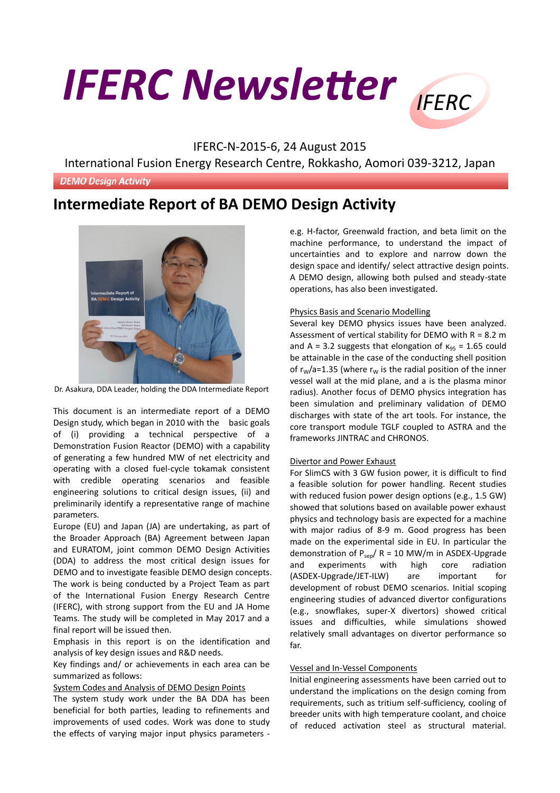# **IFERC Newsletter**



### IFERC-N-2015-6, 24 August 2015

International Fusion Energy Research Centre, Rokkasho, Aomori 039-3212, Japan

**DEMO Design Activity** 

## **Intermediate Report of BA DEMO Design Activity**



Dr. Asakura, DDA Leader, holding the DDA Intermediate Report

This document is an intermediate report of a DEMO Design study, which began in 2010 with the basic goals of (i) providing a technical perspective of a Demonstration Fusion Reactor (DEMO) with a capability of generating a few hundred MW of net electricity and operating with a closed fuel-cycle tokamak consistent with credible operating scenarios and feasible engineering solutions to critical design issues, (ii) and preliminarily identify a representative range of machine parameters.

Europe (EU) and Japan (JA) are undertaking, as part of the Broader Approach (BA) Agreement between Japan and EURATOM, joint common DEMO Design Activities (DDA) to address the most critical design issues for DEMO and to investigate feasible DEMO design concepts. The work is being conducted by a Project Team as part of the International Fusion Energy Research Centre (IFERC), with strong support from the EU and JA Home Teams. The study will be completed in May 2017 and a final report will be issued then.

Emphasis in this report is on the identification and analysis of key design issues and R&D needs.

Key findings and/ or achievements in each area can be summarized as follows:

#### System Codes and Analysis of DEMO Design Points

The system study work under the BA DDA has been beneficial for both parties, leading to refinements and improvements of used codes. Work was done to study the effects of varying major input physics parameters -

e.g. H-factor, Greenwald fraction, and beta limit on the machine performance, to understand the impact of uncertainties and to explore and narrow down the design space and identify/ select attractive design points. A DEMO design, allowing both pulsed and steady-state operations, has also been investigated.

#### Physics Basis and Scenario Modelling

Several key DEMO physics issues have been analyzed. Assessment of vertical stability for DEMO with  $R = 8.2$  m and A = 3.2 suggests that elongation of  $\kappa_{95}$  = 1.65 could be attainable in the case of the conducting shell position of  $r_w/a=1.35$  (where  $r_w$  is the radial position of the inner vessel wall at the mid plane, and a is the plasma minor radius). Another focus of DEMO physics integration has been simulation and preliminary validation of DEMO discharges with state of the art tools. For instance, the core transport module TGLF coupled to ASTRA and the frameworks JINTRAC and CHRONOS.

#### Divertor and Power Exhaust

For SlimCS with 3 GW fusion power, it is difficult to find a feasible solution for power handling. Recent studies with reduced fusion power design options (e.g., 1.5 GW) showed that solutions based on available power exhaust physics and technology basis are expected for a machine with major radius of 8-9 m. Good progress has been made on the experimental side in EU. In particular the demonstration of  $P_{\text{sep}}/ R = 10 \text{ MW/m}$  in ASDEX-Upgrade and experiments with high core radiation (ASDEX-Upgrade/JET-ILW) are important for development of robust DEMO scenarios. Initial scoping engineering studies of advanced divertor configurations (e.g., snowflakes, super-X divertors) showed critical issues and difficulties, while simulations showed relatively small advantages on divertor performance so far.

#### Vessel and In-Vessel Components

Initial engineering assessments have been carried out to understand the implications on the design coming from requirements, such as tritium self-sufficiency, cooling of breeder units with high temperature coolant, and choice of reduced activation steel as structural material.